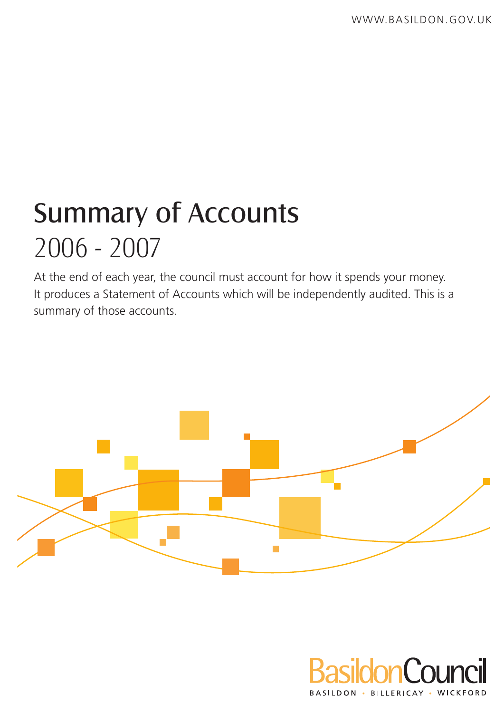# Summary of Accounts 2006 - 2007

At the end of each year, the council must account for how it spends your money. It produces a Statement of Accounts which will be independently audited. This is a summary of those accounts.



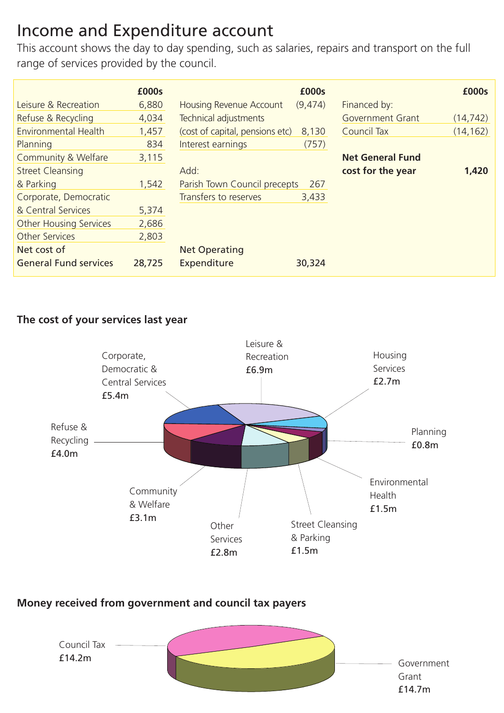# Income and Expenditure account

This account shows the day to day spending, such as salaries, repairs and transport on the full range of services provided by the council.

|                               | £000s  |                                 | £000s   |                         | £000s     |
|-------------------------------|--------|---------------------------------|---------|-------------------------|-----------|
| Leisure & Recreation          | 6,880  | Housing Revenue Account         | (9,474) | Financed by:            |           |
| Refuse & Recycling            | 4,034  | Technical adjustments           |         | Government Grant        | (14, 742) |
| Environmental Health          | 1,457  | (cost of capital, pensions etc) | 8,130   | Council Tax             | (14, 162) |
| Planning                      | 834    | Interest earnings               | (757)   |                         |           |
| Community & Welfare           | 3,115  |                                 |         | <b>Net General Fund</b> |           |
| <b>Street Cleansing</b>       |        | Add:                            |         | cost for the year       | 1,420     |
| & Parking                     | 1.542  | Parish Town Council precepts    | 267     |                         |           |
| Corporate, Democratic         |        | Transfers to reserves           | 3,433   |                         |           |
| & Central Services            | 5.374  |                                 |         |                         |           |
| <b>Other Housing Services</b> | 2,686  |                                 |         |                         |           |
| Other Services                | 2.803  |                                 |         |                         |           |
| Net cost of                   |        | <b>Net Operating</b>            |         |                         |           |
| <b>General Fund services</b>  | 28,725 | Expenditure                     | 30,324  |                         |           |

#### **The cost of your services last year**



#### **Money received from government and council tax payers**

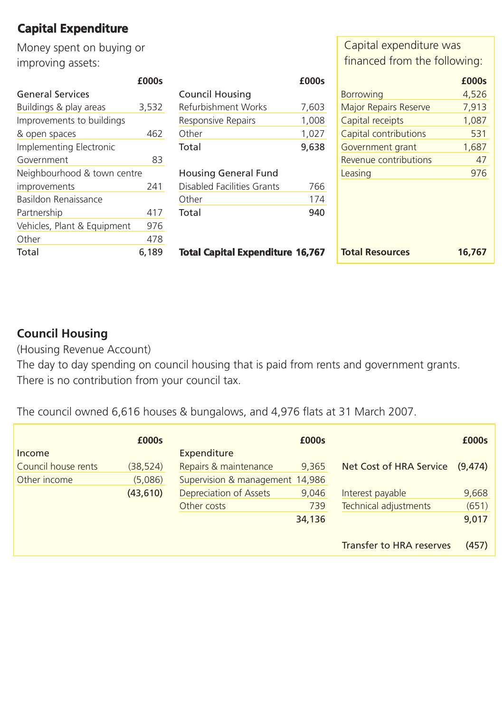## **Capital Expenditure**

Money spent on buying or improving assets:

**£000s**

|                             | ±UUUS |
|-----------------------------|-------|
| <b>General Services</b>     |       |
| Buildings & play areas      | 3.532 |
| Improvements to buildings   |       |
| & open spaces               | 462   |
| Implementing Electronic     |       |
| Government                  | 83    |
| Neighbourhood & town centre |       |
| improvements                | 241   |
| Basildon Renaissance        |       |
| Partnership                 | 417   |
| Vehicles, Plant & Equipment | 976   |
| Other                       | 478   |
| Total                       | 6.189 |
|                             |       |

| £000s |
|-------|
|       |
| 7,603 |
| 1,008 |
| 1,027 |
| 9,638 |
|       |
|       |
| 766   |
| 174   |
|       |
|       |

**Total Capital Expenditure 16,767**

Capital expenditure was financed from the following:

|                              | £000s  |
|------------------------------|--------|
| <b>Borrowing</b>             | 4,526  |
| <b>Major Repairs Reserve</b> | 7,913  |
| Capital receipts             | 1,087  |
| Capital contributions        | 531    |
| Government grant             | 1,687  |
| Revenue contributions        | 47     |
| Leasing                      | 976    |
|                              |        |
| <b>Total Resources</b>       | 16.767 |

### **Council Housing**

(Housing Revenue Account)

The day to day spending on council housing that is paid from rents and government grants. There is no contribution from your council tax.

The council owned 6,616 houses & bungalows, and 4,976 flats at 31 March 2007.

| Income              | £000s     | Expenditure                     | £000s  |                                 | £000s    |
|---------------------|-----------|---------------------------------|--------|---------------------------------|----------|
| Council house rents | (38, 524) | Repairs & maintenance           | 9,365  | Net Cost of HRA Service         | (9, 474) |
| Other income        | (5,086)   | Supervision & management 14,986 |        |                                 |          |
|                     | (43,610)  | Depreciation of Assets          | 9.046  | Interest payable                | 9,668    |
|                     |           | Other costs                     | 739    | Technical adjustments           | (651)    |
|                     |           |                                 | 34,136 |                                 | 9,017    |
|                     |           |                                 |        |                                 |          |
|                     |           |                                 |        | <b>Transfer to HRA reserves</b> | (457)    |